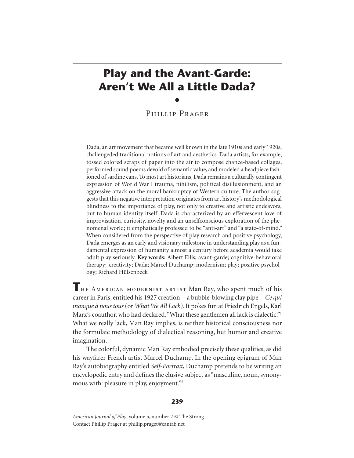# **Play and the Avant-Garde: Aren't We All a Little Dada?**  $\bullet$

Phillip Prager

Dada, an art movement that became well known in the late 1910s and early 1920s, challengeded traditional notions of art and aesthetics. Dada artists, for example, tossed colored scraps of paper into the air to compose chance-based collages, performed sound poems devoid of semantic value, and modeled a headpiece fashioned of sardine cans. To most art historians, Dada remains a culturally contingent expression of World War I trauma, nihilism, political disillusionment, and an aggressive attack on the moral bankruptcy of Western culture. The author suggests that this negative interpretation originates from art history's methodological blindness to the importance of play, not only to creative and artistic endeavors, but to human identity itself. Dada is characterized by an effervescent love of improvisation, curiosity, novelty and an unselfconscious exploration of the phenomenal world; it emphatically professed to be "anti-art" and "a state-of-mind." When considered from the perspective of play research and positive psychology, Dada emerges as an early and visionary milestone in understanding play as a fundamental expression of humanity almost a century before academia would take adult play seriously. **Key words:** Albert Ellis; avant-garde; cognitive-behavioral therapy; creativity; Dada; Marcel Duchamp; modernism; play; positive psychology; Richard Hülsenbeck

**T**he American modernist artist Man Ray, who spent much of his career in Paris, entitled his 1927 creation—a bubble-blowing clay pipe—*Ce qui manque à nous tous* (or *What We All Lack)*. It pokes fun at Friedrich Engels, Karl Marx's coauthor, who had declared, "What these gentlemen all lack is dialectic."<sup>1</sup> What we really lack, Man Ray implies, is neither historical consciousness nor the formulaic methodology of dialectical reasoning, but humor and creative imagination.

The colorful, dynamic Man Ray embodied precisely these qualities, as did his wayfarer French artist Marcel Duchamp. In the opening epigram of Man Ray's autobiography entitled *Self-Portrait*, Duchamp pretends to be writing an encyclopedic entry and defines the elusive subject as "masculine, noun, synonymous with: pleasure in play, enjoyment."<sup>2</sup>

#### **239**

*American Journal of Play*, volume 5, number 2 © The Strong Contact Phillip Prager at phillip.praget@cantab.net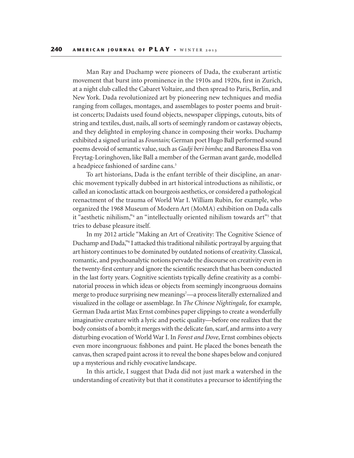Man Ray and Duchamp were pioneers of Dada, the exuberant artistic movement that burst into prominence in the 1910s and 1920s, first in Zurich, at a night club called the Cabaret Voltaire, and then spread to Paris, Berlin, and New York. Dada revolutionized art by pioneering new techniques and media ranging from collages, montages, and assemblages to poster poems and bruitist concerts; Dadaists used found objects, newspaper clippings, cutouts, bits of string and textiles, dust, nails, all sorts of seemingly random or castaway objects, and they delighted in employing chance in composing their works. Duchamp exhibited a signed urinal as *Fountain;* German poet Hugo Ball performed sound poems devoid of semantic value, such as *Gadji beri bimba;* and Baroness Elsa von Freytag-Loringhoven, like Ball a member of the German avant garde, modelled a headpiece fashioned of sardine cans.3

To art historians, Dada is the enfant terrible of their discipline, an anarchic movement typically dubbed in art historical introductions as nihilistic, or called an iconoclastic attack on bourgeois aesthetics, or considered a pathological reenactment of the trauma of World War I. William Rubin, for example, who organized the 1968 Museum of Modern Art (MoMA) exhibition on Dada calls it "aesthetic nihilism,"<sup>4</sup> an "intellectually oriented nihilism towards art"<sup>5</sup> that tries to debase pleasure itself.

In my 2012 article "Making an Art of Creativity: The Cognitive Science of Duchamp and Dada,"6 I attacked this traditional nihilistic portrayal by arguing that art history continues to be dominated by outdated notions of creativity. Classical, romantic, and psychoanalytic notions pervade the discourse on creativity even in the twenty-first century and ignore the scientific research that has been conducted in the last forty years. Cognitive scientists typically define creativity as a combinatorial process in which ideas or objects from seemingly incongruous domains merge to produce surprising new meanings<sup>7</sup>—a process literally externalized and visualized in the collage or assemblage. In *The Chinese Nightingale,* for example*,* German Dada artist Max Ernst combines paper clippings to create a wonderfully imaginative creature with a lyric and poetic quality—before one realizes that the body consists of a bomb; it merges with the delicate fan, scarf, and arms into a very disturbing evocation of World War I. In *Forest and Dove*, Ernst combines objects even more incongruous: fishbones and paint. He placed the bones beneath the canvas, then scraped paint across it to reveal the bone shapes below and conjured up a mysterious and richly evocative landscape.

In this article, I suggest that Dada did not just mark a watershed in the understanding of creativity but that it constitutes a precursor to identifying the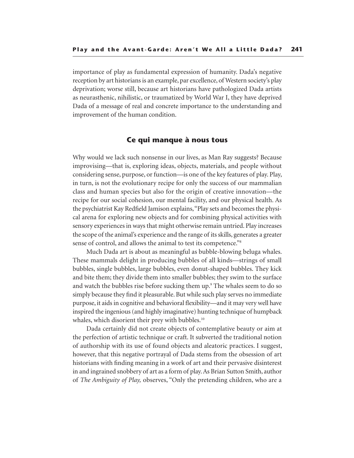importance of play as fundamental expression of humanity. Dada's negative reception by art historians is an example, par excellence, of Western society's play deprivation; worse still, because art historians have pathologized Dada artists as neurasthenic, nihilistic, or traumatized by World War I, they have deprived Dada of a message of real and concrete importance to the understanding and improvement of the human condition.

### **Ce qui manque à nous tous**

Why would we lack such nonsense in our lives, as Man Ray suggests? Because improvising—that is, exploring ideas, objects, materials, and people without considering sense, purpose, or function—is one of the key features of play. Play, in turn, is not the evolutionary recipe for only the success of our mammalian class and human species but also for the origin of creative innovation—the recipe for our social cohesion, our mental facility, and our physical health. As the psychiatrist Kay Redfield Jamison explains, "Play sets and becomes the physical arena for exploring new objects and for combining physical activities with sensory experiences in ways that might otherwise remain untried. Play increases the scope of the animal's experience and the range of its skills, generates a greater sense of control, and allows the animal to test its competence."8

Much Dada art is about as meaningful as bubble-blowing beluga whales. These mammals delight in producing bubbles of all kinds—strings of small bubbles, single bubbles, large bubbles, even donut-shaped bubbles. They kick and bite them; they divide them into smaller bubbles; they swim to the surface and watch the bubbles rise before sucking them up.9 The whales seem to do so simply because they find it pleasurable. But while such play serves no immediate purpose, it aids in cognitive and behavioral flexibility—and it may very well have inspired the ingenious (and highly imaginative) hunting technique of humpback whales, which disorient their prey with bubbles.<sup>10</sup>

Dada certainly did not create objects of contemplative beauty or aim at the perfection of artistic technique or craft. It subverted the traditional notion of authorship with its use of found objects and aleatoric practices. I suggest, however, that this negative portrayal of Dada stems from the obsession of art historians with finding meaning in a work of art and their pervasive disinterest in and ingrained snobbery of art as a form of play. As Brian Sutton Smith, author of *The Ambiguity of Play,* observes, "Only the pretending children, who are a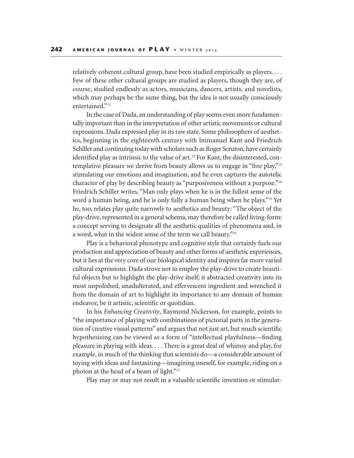relatively coherent cultural group, have been studied empirically as players. . . . Few of these other cultural groups are studied as players, though they are, of course, studied endlessly as actors, musicians, dancers, artists, and novelists, which may perhaps be the same thing, but the idea is not usually consciously entertained."<sup>11</sup>

In the case of Dada, an understanding of play seems even more fundamentally important than in the interpretation of other artistic movements or cultural expressions. Dada expressed play in its raw state. Some philosophers of aesthetics, beginning in the eighteenth century with Immanuel Kant and Friedrich Schiller and continuing today with scholars such as Roger Scruton, have certainly identified play as intrinsic to the value of art.<sup>12</sup> For Kant, the disinterested, contemplative pleasure we derive from beauty allows us to engage in "free play,"13 stimulating our emotions and imagination, and he even captures the autotelic character of play by describing beauty as "purposiveness without a purpose."14 Friedrich Schiller writes, "Man only plays when he is in the fullest sense of the word a human being, and he is only fully a human being when he plays."15 Yet he, too, relates play quite narrowly to aesthetics and beauty: "The object of the play-drive, represented in a general schema, may therefore be called living-form: a concept serving to designate all the aesthetic qualities of phenomena and, in a word, what in the widest sense of the term we call beauty."16

Play is a behavioral phenotype and cognitive style that certainly fuels our production and appreciation of beauty and other forms of aesthetic experiences, but it lies at the very core of our biological identity and inspires far more varied cultural expressions. Dada strove not to employ the play-drive to create beautiful objects but to highlight the play-drive itself; it abstracted creativity into its most unpolished, unadulterated, and effervescent ingredient and wrenched it from the domain of art to highlight its importance to any domain of human endeavor, be it artistic, scientific or quotidian.

In his *Enhancing Creativity*, Raymond Nickerson, for example, points to "the importance of playing with combinations of pictorial parts in the generation of creative visual patterns" and argues that not just art, but much scientific hypothesizing can be viewed as a form of "intellectual playfulness—finding pleasure in playing with ideas. . . . There is a great deal of whimsy and play, for example, in much of the thinking that scientists do—a considerable amount of toying with ideas and fantasizing—imagining oneself, for example, riding on a photon at the head of a beam of light."17

Play may or may not result in a valuable scientific invention or stimulat-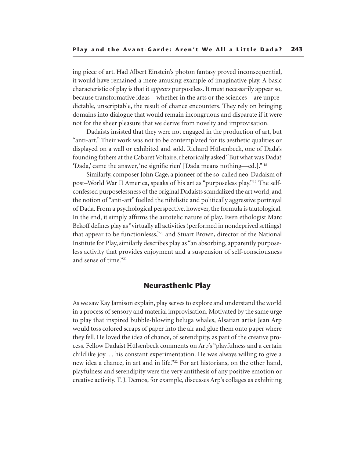ing piece of art. Had Albert Einstein's photon fantasy proved inconsequential, it would have remained a mere amusing example of imaginative play. A basic characteristic of play is that it *appears* purposeless. It must necessarily appear so, because transformative ideas—whether in the arts or the sciences—are unpredictable, unscriptable, the result of chance encounters. They rely on bringing domains into dialogue that would remain incongruous and disparate if it were not for the sheer pleasure that we derive from novelty and improvisation.

Dadaists insisted that they were not engaged in the production of art, but "anti-art." Their work was not to be contemplated for its aesthetic qualities or displayed on a wall or exhibited and sold. Richard Hülsenbeck, one of Dada's founding fathers at the Cabaret Voltaire, rhetorically asked "But what was Dada? 'Dada,' came the answer, 'ne signifie rien' [Dada means nothing—ed.]." 18

Similarly, composer John Cage, a pioneer of the so-called neo-Dadaism of post–World War II America, speaks of his art as "purposeless play."19 The selfconfessed purposelessness of the original Dadaists scandalized the art world, and the notion of "anti-art" fuelled the nihilistic and politically aggressive portrayal of Dada. From a psychological perspective, however, the formula is tautological. In the end, it simply affirms the autotelic nature of play**.** Even ethologist Marc Bekoff defines play as "virtually all activities (performed in nondeprived settings) that appear to be functionlesss,"20 and Stuart Brown, director of the National Institute for Play, similarly describes play as "an absorbing, apparently purposeless activity that provides enjoyment and a suspension of self-consciousness and sense of time."21

# **Neurasthenic Play**

As we saw Kay Jamison explain, play serves to explore and understand the world in a process of sensory and material improvisation. Motivated by the same urge to play that inspired bubble-blowing beluga whales, Alsatian artist Jean Arp would toss colored scraps of paper into the air and glue them onto paper where they fell. He loved the idea of chance, of serendipity, as part of the creative process. Fellow Dadaist Hülsenbeck comments on Arp's "playfulness and a certain childlike joy. . . his constant experimentation. He was always willing to give a new idea a chance, in art and in life."22 For art historians, on the other hand, playfulness and serendipity were the very antithesis of any positive emotion or creative activity. T. J. Demos, for example, discusses Arp's collages as exhibiting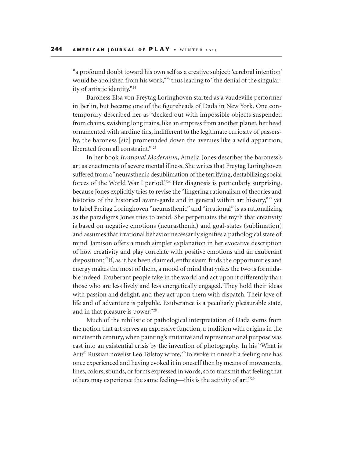"a profound doubt toward his own self as a creative subject: 'cerebral intention' would be abolished from his work,"<sup>23</sup> thus leading to "the denial of the singularity of artistic identity."24

Baroness Elsa von Freytag Loringhoven started as a vaudeville performer in Berlin, but became one of the figureheads of Dada in New York. One contemporary described her as "decked out with impossible objects suspended from chains, swishing long trains, like an empress from another planet, her head ornamented with sardine tins, indifferent to the legitimate curiosity of passersby, the baroness [sic] promenaded down the avenues like a wild apparition, liberated from all constraint." <sup>25</sup>

In her book *Irrational Modernism*, Amelia Jones describes the baroness's art as enactments of severe mental illness. She writes that Freytag Loringhoven suffered from a "neurasthenic desublimation of the terrifying, destabilizing social forces of the World War I period."26 Her diagnosis is particularly surprising, because Jones explicitly tries to revise the "lingering rationalism of theories and histories of the historical avant-garde and in general within art history,"27 yet to label Freitag Loringhoven "neurasthenic" and "irrational" is as rationalizing as the paradigms Jones tries to avoid. She perpetuates the myth that creativity is based on negative emotions (neurasthenia) and goal-states (sublimation) and assumes that irrational behavior necessarily signifies a pathological state of mind. Jamison offers a much simpler explanation in her evocative description of how creativity and play correlate with positive emotions and an exuberant disposition: "If, as it has been claimed, enthusiasm finds the opportunities and energy makes the most of them, a mood of mind that yokes the two is formidable indeed. Exuberant people take in the world and act upon it differently than those who are less lively and less energetically engaged. They hold their ideas with passion and delight, and they act upon them with dispatch. Their love of life and of adventure is palpable. Exuberance is a peculiarly pleasurable state, and in that pleasure is power."28

Much of the nihilistic or pathological interpretation of Dada stems from the notion that art serves an expressive function, a tradition with origins in the nineteenth century, when painting's imitative and representational purpose was cast into an existential crisis by the invention of photography. In his "What is Art?" Russian novelist Leo Tolstoy wrote, "To evoke in oneself a feeling one has once experienced and having evoked it in oneself then by means of movements, lines, colors, sounds, or forms expressed in words, so to transmit that feeling that others may experience the same feeling—this is the activity of art."29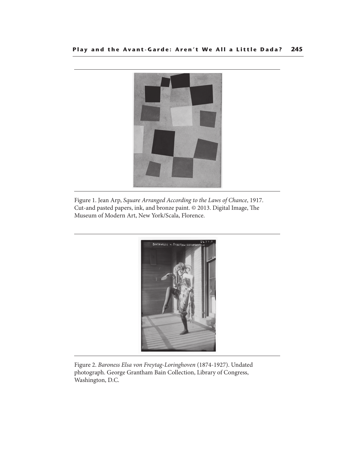

Figure 1. Jean Arp, Square Arranged According to the Laws of Chance, 1917. Cut-and pasted papers, ink, and bronze paint.  $©$  2013. Digital Image, The Museum of Modern Art, New York/Scala, Florence.



Figure 2. Baroness Elsa von Freytag-Loringhoven (1874-1927). Undated photograph. George Grantham Bain Collection, Library of Congress, Washington, D.C.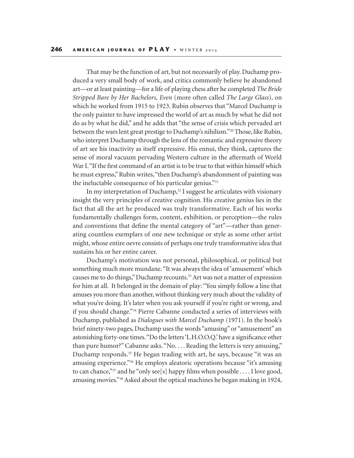That may be the function of art, but not necessarily of play. Duchamp produced a very small body of work, and critics commonly believe he abandoned art—or at least painting—for a life of playing chess after he completed *The Bride Stripped Bare by Her Bachelors, Even* (more often called *The Large Glass*), on which he worked from 1915 to 1923. Rubin observes that "Marcel Duchamp is the only painter to have impressed the world of art as much by what he did not do as by what he did," and he adds that "the sense of crisis which pervaded art between the wars lent great prestige to Duchamp's nihilism."30 Those, like Rubin, who interpret Duchamp through the lens of the romantic and expressive theory of art see his inactivity as itself expressive. His ennui, they think, captures the sense of moral vacuum pervading Western culture in the aftermath of World War I. "If the first command of an artist is to be true to that within himself which he must express," Rubin writes, "then Duchamp's abandonment of painting was the ineluctable consequence of his particular genius."31

In my interpretation of Duchamp,<sup>32</sup> I suggest he articulates with visionary insight the very principles of creative cognition. His creative genius lies in the fact that all the art he produced was truly transformative. Each of his works fundamentally challenges form, content, exhibition, or perception—the rules and conventions that define the mental category of "art"—rather than generating countless exemplars of one new technique or style as some other artist might, whose entire oevre consists of perhaps one truly transformative idea that sustains his or her entire career.

Duchamp's motivation was not personal, philosophical, or political but something much more mundane. "It was always the idea of 'amusement' which causes me to do things," Duchamp recounts.33 Art was not a matter of expression for him at all. It belonged in the domain of play: "You simply follow a line that amuses you more than another, without thinking very much about the validity of what you're doing. It's later when you ask yourself if you're right or wrong, and if you should change."34 Pierre Cabanne conducted a series of interviews with Duchamp, published as *Dialogues with Marcel Duchamp* (1971). In the book's brief ninety-two pages, Duchamp uses the words "amusing" or "amusement" an astonishing forty-one times. "Do the letters 'L.H.O.O.Q.' have a significance other than pure humor?" Cabanne asks. "No. . . . Reading the letters is very amusing," Duchamp responds.35 He began trading with art, he says, because "it was an amusing experience."36 He employs aleatoric operations because "it's amusing to can chance,"37 and he "only see[s] happy films when possible . . . . I love good, amusing movies."38 Asked about the optical machines he began making in 1924,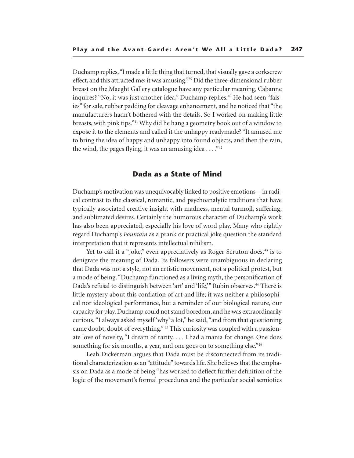Duchamp replies, "I made a little thing that turned, that visually gave a corkscrew effect, and this attracted me; it was amusing."39 Did the three-dimensional rubber breast on the Maeght Gallery catalogue have any particular meaning, Cabanne inquires? "No, it was just another idea," Duchamp replies.<sup>40</sup> He had seen "falsies" for sale, rubber padding for cleavage enhancement, and he noticed that "the manufacturers hadn't bothered with the details. So I worked on making little breasts, with pink tips."41 Why did he hang a geometry book out of a window to expose it to the elements and called it the unhappy readymade? "It amused me to bring the idea of happy and unhappy into found objects, and then the rain, the wind, the pages flying, it was an amusing idea  $\dots$ ."<sup>42</sup>

## **Dada as a State of Mind**

Duchamp's motivation was unequivocably linked to positive emotions—in radical contrast to the classical, romantic, and psychoanalytic traditions that have typically associated creative insight with madness, mental turmoil, suffering, and sublimated desires. Certainly the humorous character of Duchamp's work has also been appreciated, especially his love of word play. Many who rightly regard Duchamp's *Fountain* as a prank or practical joke question the standard interpretation that it represents intellectual nihilism.

Yet to call it a "joke," even appreciatively as Roger Scruton does, <sup>43</sup> is to denigrate the meaning of Dada. Its followers were unambiguous in declaring that Dada was not a style, not an artistic movement, not a political protest, but a mode of being. "Duchamp functioned as a living myth, the personification of Dada's refusal to distinguish between 'art' and 'life," Rubin observes.<sup>44</sup> There is little mystery about this conflation of art and life; it was neither a philosophical nor ideological performance, but a reminder of our biological nature, our capacity for play. Duchamp could not stand boredom, and he was extraordinarily curious. "I always asked myself 'why' a lot," he said, "and from that questioning came doubt, doubt of everything." 45 This curiosity was coupled with a passionate love of novelty, "I dream of rarity. . . . I had a mania for change. One does something for six months, a year, and one goes on to something else."<sup>46</sup>

Leah Dickerman argues that Dada must be disconnected from its traditional characterization as an "attitude" towards life. She believes that the emphasis on Dada as a mode of being "has worked to deflect further definition of the logic of the movement's formal procedures and the particular social semiotics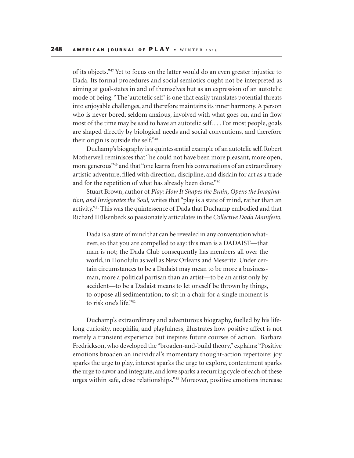of its objects."47 Yet to focus on the latter would do an even greater injustice to Dada. Its formal procedures and social semiotics ought not be interpreted as aiming at goal-states in and of themselves but as an expression of an autotelic mode of being: "The 'autotelic self' is one that easily translates potential threats into enjoyable challenges, and therefore maintains its inner harmony. A person who is never bored, seldom anxious, involved with what goes on, and in flow most of the time may be said to have an autotelic self. . . . For most people, goals are shaped directly by biological needs and social conventions, and therefore their origin is outside the self."48

Duchamp's biography is a quintessential example of an autotelic self. Robert Motherwell reminisces that "he could not have been more pleasant, more open, more generous"49 and that "one learns from his conversations of an extraordinary artistic adventure, filled with direction, discipline, and disdain for art as a trade and for the repetition of what has already been done."50

Stuart Brown, author of *Play: How It Shapes the Brain, Opens the Imagination, and Invigorates the Soul,* writes that "play is a state of mind, rather than an activity."51 This was the quintessence of Dada that Duchamp embodied and that Richard Hülsenbeck so passionately articulates in the *Collective Dada Manifesto.*

Dada is a state of mind that can be revealed in any conversation whatever, so that you are compelled to say: this man is a DADAIST—that man is not; the Dada Club consequently has members all over the world, in Honolulu as well as New Orleans and Meseritz. Under certain circumstances to be a Dadaist may mean to be more a businessman, more a political partisan than an artist—to be an artist only by accident—to be a Dadaist means to let oneself be thrown by things, to oppose all sedimentation; to sit in a chair for a single moment is to risk one's life."52

Duchamp's extraordinary and adventurous biography, fuelled by his lifelong curiosity, neophilia, and playfulness, illustrates how positive affect is not merely a transient experience but inspires future courses of action. Barbara Fredrickson, who developed the "broaden-and-build theory," explains: "Positive emotions broaden an individual's momentary thought-action repertoire: joy sparks the urge to play, interest sparks the urge to explore, contentment sparks the urge to savor and integrate, and love sparks a recurring cycle of each of these urges within safe, close relationships."53 Moreover, positive emotions increase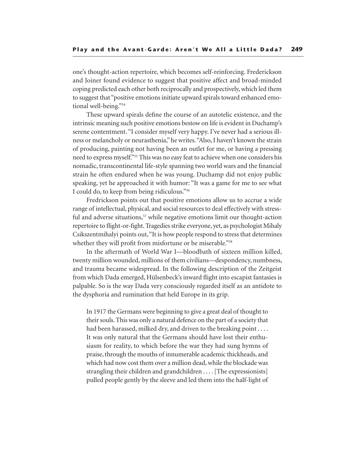one's thought-action repertoire, which becomes self-reinforcing. Frederickson and Joiner found evidence to suggest that positive affect and broad-minded coping predicted each other both reciprocally and prospectively, which led them to suggest that "positive emotions initiate upward spirals toward enhanced emotional well-being."54

These upward spirals define the course of an autotelic existence, and the intrinsic meaning such positive emotions bestow on life is evident in Duchamp's serene contentment. "I consider myself very happy. I've never had a serious illness or melancholy or neurasthenia," he writes. "Also, I haven't known the strain of producing, painting not having been an outlet for me, or having a pressing need to express myself."55 This was no easy feat to achieve when one considers his nomadic, transcontinental life-style spanning two world wars and the financial strain he often endured when he was young. Duchamp did not enjoy public speaking, yet he approached it with humor: "It was a game for me to see what I could do, to keep from being ridiculous."56

Fredrickson points out that positive emotions allow us to accrue a wide range of intellectual, physical, and social resources to deal effectively with stressful and adverse situations,<sup>57</sup> while negative emotions limit our thought-action repertoire to flight-or-fight. Tragedies strike everyone, yet, as psychologist Mihaly Csikszentmihalyi points out, "It is how people respond to stress that determines whether they will profit from misfortune or be miserable."<sup>58</sup>

In the aftermath of World War I—bloodbath of sixteen million killed, twenty million wounded, millions of them civilians—despondency, numbness, and trauma became widespread. In the following description of the Zeitgeist from which Dada emerged, Hülsenbeck's inward flight into escapist fantasies is palpable. So is the way Dada very consciously regarded itself as an antidote to the dysphoria and rumination that held Europe in its grip.

In 1917 the Germans were beginning to give a great deal of thought to their souls. This was only a natural defence on the part of a society that had been harassed, milked dry, and driven to the breaking point .... It was only natural that the Germans should have lost their enthusiasm for reality, to which before the war they had sung hymns of praise, through the mouths of innumerable academic thickheads, and which had now cost them over a million dead, while the blockade was strangling their children and grandchildren . . . . [The expressionists] pulled people gently by the sleeve and led them into the half-light of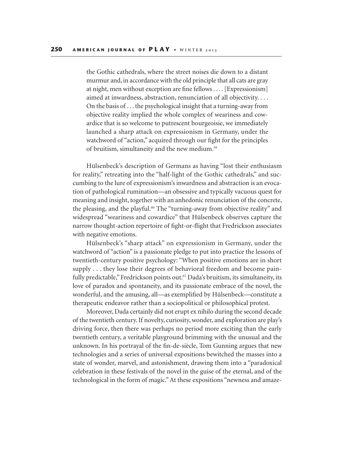the Gothic cathedrals, where the street noises die down to a distant murmur and, in accordance with the old principle that all cats are gray at night, men without exception are fine fellows . . . . [Expressionism] aimed at inwardness, abstraction, renunciation of all objectivity. . . . On the basis of . . . the psychological insight that a turning-away from objective reality implied the whole complex of weariness and cowardice that is so welcome to putrescent bourgeoisie, we immediately launched a sharp attack on expressionism in Germany, under the watchword of "action," acquired through our fight for the principles of bruitism, simultaneity and the new medium.59

Hülsenbeck's description of Germans as having "lost their enthusiasm for reality," retreating into the "half-light of the Gothic cathedrals," and succumbing to the lure of expressionism's inwardness and abstraction is an evocation of pathological rumination—an obsessive and typically vacuous quest for meaning and insight, together with an anhedonic renunciation of the concrete, the pleasing, and the playful.<sup>60</sup> The "turning-away from objective reality" and widespread "weariness and cowardice" that Hülsenbeck observes capture the narrow thought-action repertoire of fight-or-flight that Fredrickson associates with negative emotions.

Hülsenbeck's "sharp attack" on expressionism in Germany, under the watchword of "action" is a passionate pledge to put into practice the lessons of twentieth-century positive psychology: "When positive emotions are in short supply . . . they lose their degrees of behavioral freedom and become painfully predictable," Fredrickson points out.<sup>61</sup> Dada's bruitism, its simultaneity, its love of paradox and spontaneity, and its passionate embrace of the novel, the wonderful, and the amusing, all—as exemplified by Hülsenbeck—constitute a therapeutic endeavor rather than a sociopolitical or philosophical protest.

Moreover, Dada certainly did not erupt ex nihilo during the second decade of the twentieth century. If novelty, curiosity, wonder, and exploration are play's driving force, then there was perhaps no period more exciting than the early twentieth century, a veritable playground brimming with the unusual and the unknown. In his portrayal of the fin-de-siècle, Tom Gunning argues that new technologies and a series of universal expositions bewitched the masses into a state of wonder, marvel, and astonishment, drawing them into a "paradoxical celebration in these festivals of the novel in the guise of the eternal, and of the technological in the form of magic." At these expositions "newness and amaze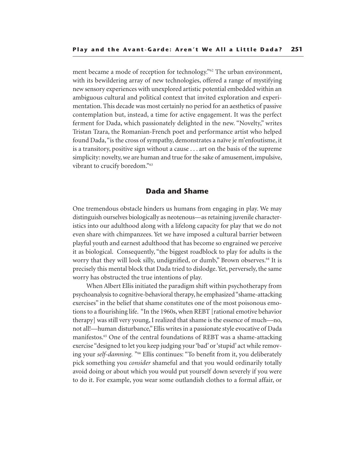ment became a mode of reception for technology."62 The urban environment, with its bewildering array of new technologies, offered a range of mystifying new sensory experiences with unexplored artistic potential embedded within an ambiguous cultural and political context that invited exploration and experimentation. This decade was most certainly no period for an aesthetics of passive contemplation but, instead, a time for active engagement. It was the perfect ferment for Dada, which passionately delighted in the new. "Novelty," writes Tristan Tzara, the Romanian-French poet and performance artist who helped found Dada, "is the cross of sympathy, demonstrates a naïve je m'enfoutisme, it is a transitory, positive sign without a cause . . . art on the basis of the supreme simplicity: novelty, we are human and true for the sake of amusement, impulsive, vibrant to crucify boredom."63

## **Dada and Shame**

One tremendous obstacle hinders us humans from engaging in play. We may distinguish ourselves biologically as neotenous—as retaining juvenile characteristics into our adulthood along with a lifelong capacity for play that we do not even share with chimpanzees. Yet we have imposed a cultural barrier between playful youth and earnest adulthood that has become so engrained we perceive it as biological. Consequently, "the biggest roadblock to play for adults is the worry that they will look silly, undignified, or dumb," Brown observes.<sup>64</sup> It is precisely this mental block that Dada tried to dislodge. Yet, perversely, the same worry has obstructed the true intentions of play.

When Albert Ellis initiated the paradigm shift within psychotherapy from psychoanalysis to cognitive-behavioral therapy, he emphasized "shame-attacking exercises" in the belief that shame constitutes one of the most poisonous emotions to a flourishing life. "In the 1960s, when REBT [rational emotive behavior therapy] was still very young, I realized that shame is the essence of much—no, not all!—human disturbance," Ellis writes in a passionate style evocative of Dada manifestos.65 One of the central foundations of REBT was a shame-attacking exercise "designed to let you keep judging your 'bad' or 'stupid' act while removing your *self-damning.* "66 Ellis continues: "To benefit from it, you deliberately pick something you *consider* shameful and that you would ordinarily totally avoid doing or about which you would put yourself down severely if you were to do it. For example, you wear some outlandish clothes to a formal affair, or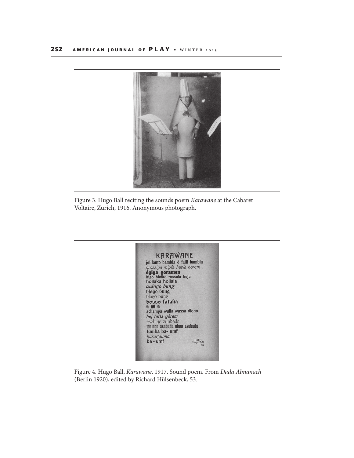

Figure 3. Hugo Ball reciting the sounds poem Karawane at the Cabaret Voltaire, Zurich, 1916. Anonymous photograph.



Figure 4. Hugo Ball, Karawane, 1917. Sound poem. From Dada Almanach (Berlin 1920), edited by Richard Hülsenbeck, 53.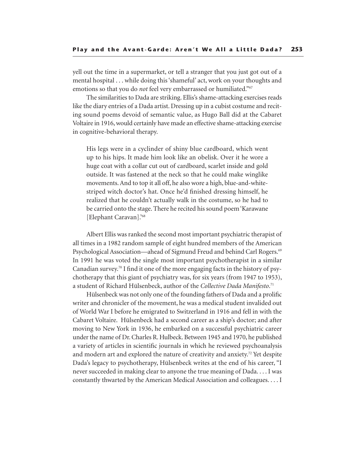yell out the time in a supermarket, or tell a stranger that you just got out of a mental hospital . . . while doing this 'shameful' act, work on your thoughts and emotions so that you do *not* feel very embarrassed or humiliated."<sup>67</sup>

The similarities to Dada are striking. Ellis's shame-attacking exercises reads like the diary entries of a Dada artist. Dressing up in a cubist costume and reciting sound poems devoid of semantic value, as Hugo Ball did at the Cabaret Voltaire in 1916, would certainly have made an effective shame-attacking exercise in cognitive-behavioral therapy.

His legs were in a cyclinder of shiny blue cardboard, which went up to his hips. It made him look like an obelisk. Over it he wore a huge coat with a collar cut out of cardboard, scarlet inside and gold outside. It was fastened at the neck so that he could make winglike movements. And to top it all off, he also wore a high, blue-and-whitestriped witch doctor's hat. Once he'd finished dressing himself, he realized that he couldn't actually walk in the costume, so he had to be carried onto the stage. There he recited his sound poem 'Karawane [Elephant Caravan].'68

Albert Ellis was ranked the second most important psychiatric therapist of all times in a 1982 random sample of eight hundred members of the American Psychological Association—ahead of Sigmund Freud and behind Carl Rogers.<sup>69</sup> In 1991 he was voted the single most important psychotherapist in a similar Canadian survey.<sup>70</sup> I find it one of the more engaging facts in the history of psychotherapy that this giant of psychiatry was, for six years (from 1947 to 1953), a student of Richard Hülsenbeck, author of the *Collective Dada Manifesto*. 71

Hülsenbeck was not only one of the founding fathers of Dada and a prolific writer and chronicler of the movement, he was a medical student invalided out of World War I before he emigrated to Switzerland in 1916 and fell in with the Cabaret Voltaire. Hülsenbeck had a second career as a ship's doctor; and after moving to New York in 1936, he embarked on a successful psychiatric career under the name of Dr. Charles R. Hulbeck. Between 1945 and 1970, he published a variety of articles in scientific journals in which he reviewed psychoanalysis and modern art and explored the nature of creativity and anxiety.72 Yet despite Dada's legacy to psychotherapy, Hülsenbeck writes at the end of his career, "I never succeeded in making clear to anyone the true meaning of Dada. . . . I was constantly thwarted by the American Medical Association and colleagues. . . . I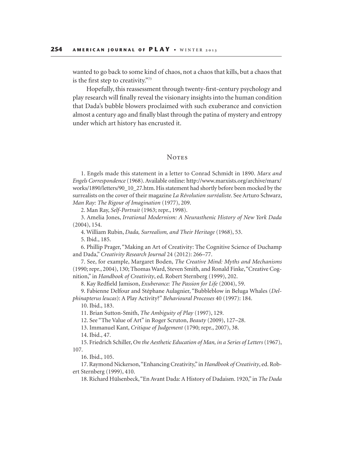wanted to go back to some kind of chaos, not a chaos that kills, but a chaos that is the first step to creativity."73

Hopefully, this reassessment through twenty-first-century psychology and play research will finally reveal the visionary insights into the human condition that Dada's bubble blowers proclaimed with such exuberance and conviction almost a century ago and finally blast through the patina of mystery and entropy under which art history has encrusted it.

#### **NOTES**

1. Engels made this statement in a letter to Conrad Schmidt in 1890. *Marx and Engels Correspondence* (1968). Available online: http://www.marxists.org/archive/marx/ works/1890/letters/90\_10\_27.htm. His statement had shortly before been mocked by the surrealists on the cover of their magazine *La Révolution surréaliste*. See Arturo Schwarz, *Man Ray: The Rigour of Imagination* (1977), 209.

2. Man Ray, *Self-Portrait* (1963; repr., 1998).

3. Amelia Jones, *Irrational Modernism: A Neurasthenic History of New York Dada* (2004), 154.

4. William Rubin, *Dada, Surrealism, and Their Heritage* (1968), 53.

5. Ibid., 185.

6. Phillip Prager, "Making an Art of Creativity: The Cognitive Science of Duchamp and Dada," *Creativity Research Journal* 24 (2012): 266–77.

7. See, for example, Margaret Boden, *The Creative Mind: Myths and Mechanisms* (1990; repr., 2004), 130; Thomas Ward, Steven Smith, and Ronald Finke, "Creative Cognition," in *Handbook of Creativity*, ed. Robert Sternberg (1999), 202.

8. Kay Redfield Jamison, *Exuberance: The Passion for Life* (2004), 59.

9. Fabienne Delfour and Stéphane Aulagnier, "Bubbleblow in Beluga Whales (*Delphinapterus leucas*): A Play Activity?" *Behavioural Processes* 40 (1997): 184.

10. Ibid., 183.

11. Brian Sutton-Smith, *The Ambiguity of Play* (1997), 129.

12. See "The Value of Art" in Roger Scruton, *Beauty* (2009), 127–28.

13. Immanuel Kant, *Critique of Judgement* (1790; repr., 2007), 38.

14. Ibid., 47.

15. Friedrich Schiller, *On the Aesthetic Education of Man, in a Series of Letters* (1967), 107.

16. Ibid., 105.

17. Raymond Nickerson, "Enhancing Creativity," in *Handbook of Creativity*, ed. Robert Sternberg (1999), 410.

18. Richard Hülsenbeck, "En Avant Dada: A History of Dadaism. 1920," in *The Dada*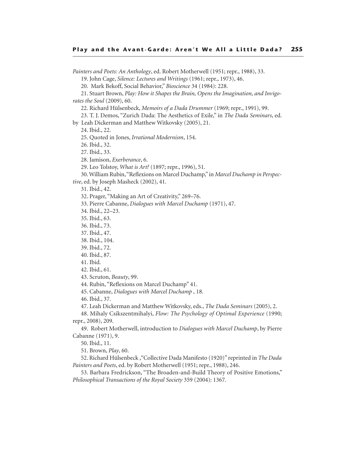*Painters and Poets: An Anthology*, ed. Robert Motherwell (1951; repr., 1988), 33.

19. John Cage, *Silence: Lectures and Writings* (1961; repr., 1973), 46.

20. Mark Bekoff, Social Behavior," *Bioscience* 34 (1984): 228.

21. Stuart Brown, *Play: How it Shapes the Brain, Opens the Imagination, and Invigorates the Soul* (2009), 60.

22. Richard Hülsenbeck, *Memoirs of a Dada Drummer* (1969; repr., 1991), 99.

23. T. J. Demos, "Zurich Dada: The Aesthetics of Exile," in *The Dada Seminars*, ed.

by Leah Dickerman and Matthew Witkovsky (2005), 21.

24. Ibid., 22.

25. Quoted in Jones, *Irrational Modernism*, 154.

26. Ibid., 32.

27. Ibid., 33.

28. Jamison, *Exerberance*, 6.

29. Leo Tolstoy, *What is Art?* (1897; repr., 1996), 51.

30. William Rubin, "Reflexions on Marcel Duchamp," in *Marcel Duchamp in Perspective*, ed. by Joseph Masheck (2002), 41.

31. Ibid., 42.

32. Prager, "Making an Art of Creativity," 269–76.

33. Pierre Cabanne, *Dialogues with Marcel Duchamp* (1971), 47.

34. Ibid., 22–23.

35. Ibid., 63.

36. Ibid., 73.

37. Ibid., 47.

38. Ibid., 104.

39. Ibid., 72.

40. Ibid., 87.

41. Ibid.

42. Ibid., 61.

43. Scruton, *Beauty*, 99.

44. Rubin, "Reflexions on Marcel Duchamp" 41.

45. Cabanne, *Dialogues with Marcel Duchamp ,* 18.

46. Ibid., 37.

47. Leah Dickerman and Matthew Witkovsky, eds., *The Dada Seminars* (2005), 2.

48. Mihaly Csikszentmihalyi, *Flow: The Psychology of Optimal Experience* (1990; repr., 2008), 209.

49. Robert Motherwell, introduction to *Dialogues with Marcel Duchamp*, by Pierre Cabanne (1971), 9.

50. Ibid., 11.

51. Brown, *Play*, 60.

52. Richard Hülsenbeck ,"Collective Dada Manifesto (1920)" reprinted in *The Dada Painters and Poets*, ed. by Robert Motherwell (1951; repr., 1988), 246.

53. Barbara Fredrickson, "The Broaden-and-Build Theory of Positive Emotions," *Philosophical Transactions of the Royal Society* 359 (2004): 1367.